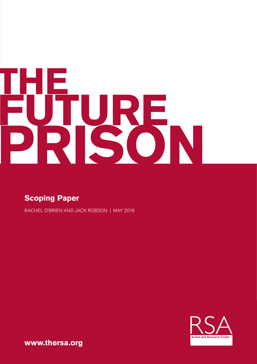# **THE FUTURE PRISON**

### **Scoping Paper**

RACHEL O'BRIEN AND JACK ROBSON | MAY 2016

**Action and Research Centre** 

**www.thersa.org**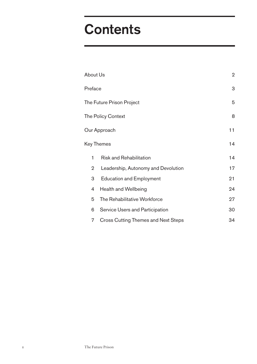# **Contents**

| <b>About Us</b>           |                                            | $\overline{2}$ |
|---------------------------|--------------------------------------------|----------------|
| Preface                   |                                            | 3              |
| The Future Prison Project |                                            | 5              |
| The Policy Context        |                                            | 8              |
| Our Approach              |                                            | 11             |
| Key Themes                |                                            | 14             |
| 1                         | <b>Risk and Rehabilitation</b>             | 14             |
| 2                         | Leadership, Autonomy and Devolution        | 17             |
| 3                         | <b>Education and Employment</b>            | 21             |
| 4                         | <b>Health and Wellbeing</b>                | 24             |
| 5                         | The Rehabilitative Workforce               | 27             |
| 6                         | Service Users and Participation            | 30             |
| 7                         | <b>Cross Cutting Themes and Next Steps</b> | 34             |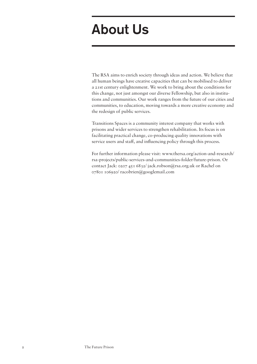# About Us

The RSA aims to enrich society through ideas and action. We believe that all human beings have creative capacities that can be mobilised to deliver a 21st century enlightenment. We work to bring about the conditions for this change, not just amongst our diverse Fellowship, but also in institutions and communities. Our work ranges from the future of our cities and communities, to education, moving towards a more creative economy and the redesign of public services.

Transitions Spaces is a community interest company that works with prisons and wider services to strengthen rehabilitation. Its focus is on facilitating practical change, co-producing quality innovations with service users and staff, and influencing policy through this process.

For further information please visit: www.thersa.org/action-and-research/ rsa-projects/public-services-and-communities-folder/future-prison. Or contact Jack: 0207 451 6832/ jack.robson@rsa.org.uk or Rachel on 07801 106920/ racobrien@googlemail.com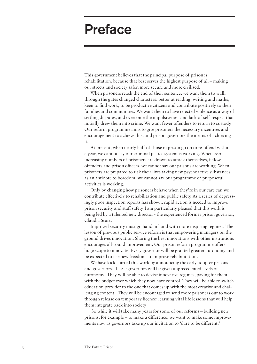# Preface

This government believes that the principal purpose of prison is rehabilitation, because that best serves the highest purpose of all – making our streets and society safer, more secure and more civilised.

When prisoners reach the end of their sentence, we want them to walk through the gates changed characters: better at reading, writing and maths; keen to find work, to be productive citizens and contribute positively to their families and communities. We want them to have rejected violence as a way of settling disputes, and overcome the impulsiveness and lack of self-respect that initially drew them into crime. We want fewer offenders to return to custody. Our reform programme aims to give prisoners the necessary incentives and encouragement to achieve this, and prison governors the means of achieving it.

At present, when nearly half of those in prison go on to re-offend within a year, we cannot say our criminal justice system is working. When everincreasing numbers of prisoners are drawn to attack themselves, fellow offenders and prison officers, we cannot say our prisons are working. When prisoners are prepared to risk their lives taking new psychoactive substances as an antidote to boredom, we cannot say our programme of purposeful activities is working.

Only by changing how prisoners behave when they're in our care can we contribute effectively to rehabilitation and public safety. As a series of depressingly poor inspection reports has shown, rapid action is needed to improve prison security and staff safety. I am particularly pleased that this work is being led by a talented new director - the experienced former prison governor, Claudia Sturt.

Improved security must go hand in hand with more inspiring regimes. The lesson of previous public service reform is that empowering managers on the ground drives innovation. Sharing the best innovations with other institutions encourages all-round improvement. Our prison reform programme offers huge scope to innovate. Every governor will be granted greater autonomy and be expected to use new freedoms to improve rehabilitation.

We have kick started this work by announcing the early adopter prisons and governors. These governors will be given unprecedented levels of autonomy. They will be able to devise innovative regimes, paying for them with the budget over which they now have control. They will be able to switch education provider to the one that comes up with the most creative and challenging content. They will be encouraged to send more prisoners out to work through release on temporary licence; learning vital life lessons that will help them integrate back into society.

 So while it will take many years for some of our reforms – building new prisons, for example – to make a difference, we want to make some improvements now as governors take up our invitation to 'dare to be different.'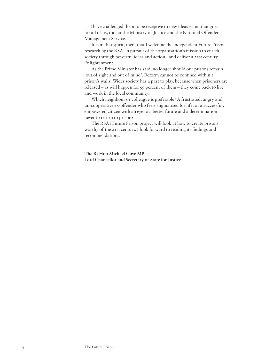I have challenged them to be receptive to new ideas – and that goes for all of us, too, at the Ministry of Justice and the National Offender Management Service.

 It is in that spirit, then, that I welcome the independent Future Prisons research by the RSA, in pursuit of the organisation's mission to enrich society through powerful ideas and action - and deliver a 21st century Enlightenment.

 As the Prime Minister has said, no longer should our prisons remain 'out of sight and out of mind'. Reform cannot be confined within a prison's walls. Wider society has a part to play, because when prisoners are released – as will happen for 99 percent of them – they come back to live and work in the local community.

 Which neighbour or colleague is preferable? A frustrated, angry and un-cooperative ex-offender who feels stigmatised for life, or a successful, empowered citizen with an eye to a better future and a determination never to return to prison?

 The RSA's Future Prison project will look at how to create prisons worthy of the 21st century. I look forward to reading its findings and recommendations.

**The Rt Hon Michael Gove MP Lord Chancellor and Secretary of State for Justice**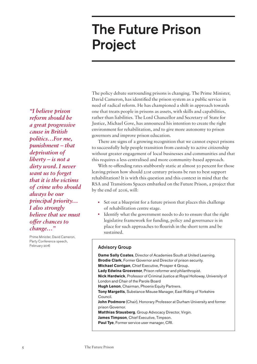# The Future Prison Project

*"I believe prison reform should be a great progressive cause in British politics…For me, punishment – that deprivation of liberty – is not a dirty word. I never want us to forget that it is the victims of crime who should always be our principal priority… I also strongly believe that we must offer chances to change…"*

Prime Minister, David Cameron, Party Conference speech, February 2016

The policy debate surrounding prisons is changing. The Prime Minister, David Cameron, has identified the prison system as a public service in need of radical reform. He has championed a shift in approach towards one that treats people in prisons as assets, with skills and capabilities, rather than liabilities. The Lord Chancellor and Secretary of State for Justice, Michael Gove, has announced his intention to create the right environment for rehabilitation, and to give more autonomy to prison governors and improve prison education.

There are signs of a growing recognition that we cannot expect prisons to successfully help people transition from custody to active citizenship without greater engagement of local businesses and communities and that this requires a less centralised and more community-based approach.

With re-offending rates stubbornly static at almost 50 percent for those leaving prison how should 21st century prisons be run to best support rehabilitation? It is with this question and this context in mind that the RSA and Transitions Spaces embarked on the Future Prison, a project that by the end of 2016, will:

- Set out a blueprint for a future prison that places this challenge of rehabilitation centre stage.
- Identify what the government needs to do to ensure that the right legislative framework for funding, policy and governance is in place for such approaches to flourish in the short term and be sustained.

#### Advisory Group

**Dame Sally Coates**, Director of Academies South at United Learning. **Brodie Clark**, Former Governor and Director of prison security. **Michael Corrigan**, Chief Executive, Prosper 4 Group. **Lady Edwina Grosvenor**, Prison reformer and philanthropist. **Nick Hardwick**, Professor of Criminal Justice at Royal Holloway, University of London and Chair of the Parole Board **Hugh Lenon**, Chairman, Phoenix Equity Partners. **Tony Margetts**, Substance Misuse Manager, East Riding of Yorkshire Council. **John Podmore** (Chair), Honorary Professor at Durham University and former prison Governor. **Matthias Stausberg**, Group Advocacy Director, Virgin. **James Timpson**, Chief Executive, Timpson. **Paul Tye**, Former service user manager, CRI.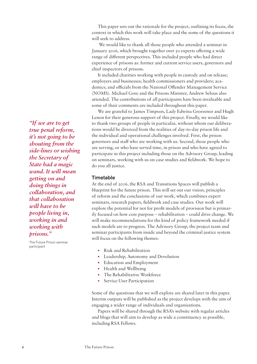This paper sets out the rationale for the project, outlining its focus, the context in which this work will take place and the some of the questions it will seek to address.

 We would like to thank all those people who attended a seminar in January 2016, which brought together over 50 experts offering a wide range of different perspectives. This included people who had direct experience of prisons as: former and current service users, governors and chief inspectors of prisons.

It included charities working with people in custody and on release; employers and businesses; health commissioners and providers; academics; and officials from the National Offender Management Service (NOMS). Michael Gove and the Prisons Minister, Andrew Selous also attended. The contributions of all participants have been invaluable and some of their comments are included throughout this paper.

We are grateful to James Timpson, Lady Edwina Grosvenor and Hugh Lenon for their generous support of this project. Finally, we would like to thank two groups of people in particular, without whom our deliberations would be divorced from the realities of day-to-day prison life and the individual and operational challenges involved. First, the prison governors and staff who are working with us. Second, those people who are serving, or who have served time, in prison and who have agreed to participate in this project including those on the Advisory Group, leading on seminars, working with us on case studies and fieldwork. We hope to do you all justice.

#### **Timetable**

At the end of 2016, the RSA and Transitions Spaces will publish a blueprint for the future prison. This will set out our vision, principles of reform and the conclusions of our work, which combines expert seminars, research papers, fieldwork and case studies. Our work will explore the potential for not for profit models of provision but is primarily focused on how core purpose – rehabilitation – could drive change. We will make recommendations for the kind of policy framework needed if such models are to progress. The Advisory Group, the project team and seminar participants from inside and beyond the criminal justice system will focus on the following themes:

- Risk and Rehabilitation
- Leadership, Autonomy and Devolution
- Education and Employment
- Health and Wellbeing
- The Rehabilitative Workforce
- Service User Participation

Some of the questions that we will explore are shared later in this paper. Interim outputs will be published as the project develops with the aim of engaging a wider range of individuals and organisations.

Papers will be shared through the RSA's website with regular articles and blogs that will aim to develop as wide a constituency as possible, including RSA Fellows.

*"If we are to get true penal reform, it's not going to be shouting from the side-lines or wishing the Secretary of State had a magic wand. It will mean getting on and doing things in collaboration, and that collaboration will have to be people living in, working in and working with prisons."*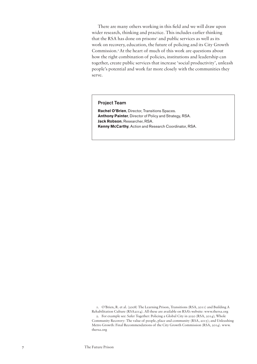There are many others working in this field and we will draw upon wider research, thinking and practice. This includes earlier thinking that the RSA has done on prisons<sup>1</sup> and public services as well as its work on recovery, education, the future of policing and its City Growth Commission.2At the heart of much of this work are questions about how the right combination of policies, institutions and leadership can together, create public services that increase 'social productivity', unleash people's potential and work far more closely with the communities they serve.

#### Project Team

**Rachel O'Brien**, Director, Transitions Spaces. **Anthony Painter**, Director of Policy and Strategy, RSA. **Jack Robson**, Researcher, RSA. **Kenny McCarthy**, Action and Research Coordinator, RSA.

1. O'Brien, R. et al. (2008) The Learning Prison, Transitions (RSA, 2011) and Building A Rehabilitation Culture (RSA2014). All these are available on RSA's website: www.thersa.org 2. For example see: Safer Together: Policing a Global City in 2020 (RSA, 2014); Whole Community Recovery: The value of people, place and community (RSA, 2015); and Unleashing Metro Growth: Final Recommendations of the City Growth Commission (RSA, 2014). www. thersa.org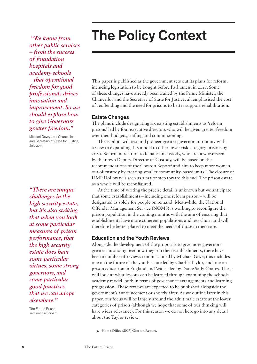# The Policy Context

 *"We know from other public services – from the success of foundation hospitals and academy schools – that operational freedom for good professionals drives innovation and improvement. So we should explore how to give Governors greater freedom."* 

Michael Gove, Lord Chancellor and Secretary of State for Justice, July 2015

*"There are unique challenges in the high security estate, but it's also striking that when you look at some particular measures of prison performance, that the high security estate does have some particular virtues, some strong governors, and some particular good practices that we can adopt elsewhere."* 

The Future Prison seminar participant This paper is published as the government sets out its plans for reform, including legislation to be bought before Parliament in 2017. Some of these changes have already been trailed by the Prime Minister, the Chancellor and the Secretary of State for Justice; all emphasised the cost of reoffending and the need for prisons to better support rehabilitation.

#### Estate Changes

The plans include designating six existing establishments as 'reform prisons' led by four executive directors who will be given greater freedom over their budgets, staffing and commissioning.

These pilots will test and pioneer greater governor autonomy with a view to expanding this model to other lower risk category prisons by 2020. Reform in relation to females in custody, who are now overseen by their own Deputy Director of Custody, will be based on the recommendations of the Corston Report<sup>3</sup> and aim to keep more women out of custody by creating smaller community-based units. The closure of HMP Holloway is seen as a major step toward this end. The prison estate as a whole will be reconfigured.

At the time of writing the precise detail is unknown but we anticipate that some establishments – including one reform prison – will be designated as solely for people on remand. Meanwhile, the National Offender Management Service (NOMS) is working to reconfigure the prison population in the coming months with the aim of ensuring that establishments have more coherent populations and less churn and will therefore be better placed to meet the needs of those in their care.

#### Education and the Youth Reviews

Alongside the development of the proposals to give more governors greater autonomy over how they run their establishments, there have been a number of reviews commissioned by Michael Gove; this includes one on the future of the youth estate led by Charlie Taylor, and one on prison education in England and Wales, led by Dame Sally Coates. These will look at what lessons can be learned through examining the schools academy model, both in terms of governance arrangements and learning progression. These reviews are expected to be published alongside the government's announcement or shortly after. As we outline later in this paper, our focus will be largely around the adult male estate at the lower categories of prison (although we hope that some of our thinking will have wider relevance). For this reason we do not here go into any detail about the Taylor review.

3. Home Office (2007) Corston Report.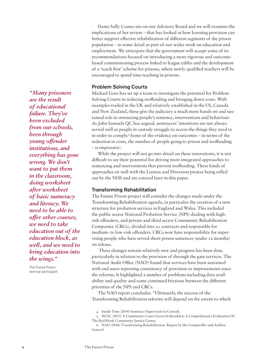Dame Sally Coates sits on our Advisory Board and we will examine the implications of her review – that has looked at how learning provision can better support effective rehabilitation of different segments of the prison population – in some detail as part of our wider work on education and employment. We anticipate that the government will accept some of its recommendations focused on introducing a more rigorous and outcomebased commissioning process linked to league tables and the development of a 'teach first' scheme for prisons, where newly qualified teachers will be encouraged to spend time teaching in prisons.

#### Problem Solving Courts

Michael Gove has set up a team to investigate the potential for Problem Solving Courts in reducing reoffending and bringing down costs. With examples trailed in the UK and relatively established in the US, Canada and New Zealand, these give the judiciary a much more hands on and sustained role in overseeing people's sentence, interventions and behaviour. As John Samuels QC has argued, sentencers' intentions are not always served well as people in custody struggle to access the things they need to in order to comply.4 Some of the evidence on outcomes – in terms of the reduction in costs, the number of people going to prison and reoffending - is impressive<sup>5</sup>.

While the project will not go into detail on these innovations, it is not difficult to see their potential for driving more integrated approaches to sentencing and interventions that prevent reoffending. These kinds of approaches sit well with the Liaison and Diversion project being rolled out by the NHS and are covered later in this paper.

#### Transforming Rehabilitation

The Future Prison project will consider the changes made under the Transforming Rehabilitation agenda, in particular the creation of a new structure for probation services in England and Wales. This included the public sector National Probation Service (NPS) dealing with highrisk offenders, and private and third sector Community Rehabilitation Companies (CRCs), divided into 21 contracts and responsible for medium- to low-risk offenders. CRCs now have responsibility for supervising people who have served short prison sentences (under 12 months) on release.

 These changes remain relatively new and progress has been slow, particularly in relation to the provision of through the gate services. The National Audit Office (NAO)<sup>6</sup> found that services have been sustained with end users reporting consistency of provision or improvements since the reforms. It highlighted a number of problems including data availability and quality and some continued frictions between the different priorities of the NPS and CRCs.

The NAO report concludes: "Ultimately, the success of the Transforming Rehabilitation reforms will depend on the extent to which

*"Many prisoners are the result of educational failure. They've been excluded from our schools, been through young offender institutions, and everything has gone wrong. We don't want to put them in the classroom, doing worksheet after worksheet of basic numeracy and literacy. We need to be able to offer other courses, we need to take education out of the education block, as well, and we need to bring education into the wings."*

<sup>4.</sup> Inside Time (2014) Sentencer Supervsion in Custody.

<sup>5.</sup> NCSC (2013) A Community Court Grows In Brooklyn: A Comprehensive Evaluation Of The Red Hook Community Justice Center.

<sup>6.</sup> NAO (2016) Transforming Rehabilitation: Report by the Comptroller and Auditor General.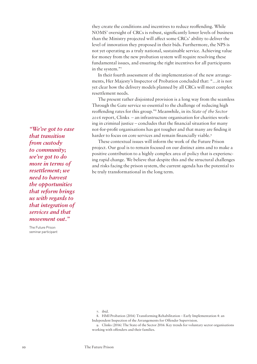they create the conditions and incentives to reduce reoffending. While NOMS' oversight of CRCs is robust, significantly lower levels of business than the Ministry projected will affect some CRCs' ability to deliver the level of innovation they proposed in their bids. Furthermore, the NPS is not yet operating as a truly national, sustainable service. Achieving value for money from the new probation system will require resolving these fundamental issues, and ensuring the right incentives for all participants in the system."7

In their fourth assessment of the implementation of the new arrangements, Her Majesty's Inspector of Probation concluded that: "…it is not yet clear how the delivery models planned by all CRCs will meet complex resettlement needs.

The present rather disjointed provision is a long way from the seamless Through the Gate service so essential to the challenge of reducing high reoffending rates for this group."8 Meanwhile, in its *State of the Sector 2016* report, Clinks – an infrastructure organisation for charities working in criminal justice – concludes that the financial situation for many not-for-profit organisations has got tougher and that many are finding it harder to focus on core services and remain financially viable.<sup>9</sup>

These contextual issues will inform the work of the Future Prison project. Our goal is to remain focused on our distinct aims and to make a positive contribution to a highly complex area of policy that is experiencing rapid change. We believe that despite this and the structural challenges and risks facing the prison system, the current agenda has the potential to be truly transformational in the long term.

*"We've got to ease that transition from custody to community; we've got to do more in terms of resettlement; we need to harvest the opportunities that reform brings us with regards to that integration of services and that movement out."*

<sup>7.</sup> ibid.

<sup>8.</sup> HMI Probation (2016) Transforming Rehabilitation – Early Implementation 4: an Independent Inspection of the Arrangements for Offender Supervision.

<sup>9.</sup> Clinks (2016) The State of the Sector 2016: Key trends for voluntary sector organisations working with offenders and their families.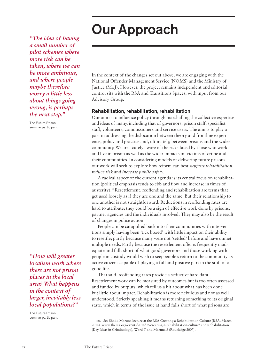# Our Approach

*"The idea of having a small number of pilot schemes where more risk can be taken, where we can be more ambitious, and where people maybe therefore worry a little less about things going wrong, is perhaps the next step."*

The Future Prison seminar participant

*"How will greater localism work where there are not prison places in the local area? What happens in the context of larger, inevitably less local populations?"*

The Future Prison seminar participant In the context of the changes set out above, we are engaging with the National Offender Management Service (NOMS) and the Ministry of Justice (MoJ). However, the project remains independent and editorial control sits with the RSA and Transitions Spaces, with input from our Advisory Group.

#### Rehabilitation, rehabilitation, rehabilitation

Our aim is to influence policy through marshalling the collective expertise and ideas of many, including that of governors, prison staff, specialist staff, volunteers, commissioners and service users. The aim is to play a part in addressing the dislocation between theory and frontline experience, policy and practice and, ultimately, between prisons and the wider community. We are acutely aware of the risks faced by those who work and live in prison as well as the wider impacts on victims of crime and their communities. In considering models of delivering future prisons, our work will seek to explore how reform can best *support rehabilitation, reduce risk* and *increase public safety.*

A radical aspect of the current agenda is its central focus on rehabilitation (political emphasis tends to ebb and flow and increase in times of austerity).10Resettlement, reoffending and rehabilitation are terms that get used loosely as if they are one and the same. But their relationship to one another is not straightforward. Reductions in reoffending rates are hard to attribute; they could be a sign of effective work done by prisons, partner agencies and the individuals involved. They may also be the result of changes in police action.

People can be catapulted back into their communities with interventions simply having been 'tick boxed' with little impact on their ability to resettle; partly because many were not 'settled' before and have unmet multiple needs. Partly because the resettlement offer is frequently inadequate and falls short of what good governors and those working with people in custody would wish to see; people's return to the community as active citizens capable of playing a full and positive part in the stuff of a good life.

That said, reoffending rates provide a seductive hard data. Resettlement work can be measured by outcomes but is too often assessed and funded by outputs, which tell us a bit about what has been done but little about impact. Rehabilitation is more nebulous and not as well understood. Strictly speaking it means returning something to its original state, which in terms of the issue at hand falls short of what prisons are

<sup>10.</sup> See Shadd Maruna lecture at the RSA Creating a Rehabilitation Culture (RSA, March 2014): www.thersa.org/events/2014/03/creating-a-rehabilitation-culture/ and Rehabilitation (Key Ideas in Criminology), Ward T and Maruna S (Routledge 2007).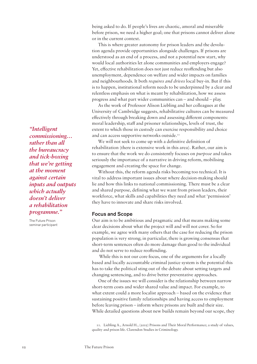being asked to do. If people's lives are chaotic, amoral and miserable before prison, we need a higher goal; one that prisons cannot deliver alone or in the current context.

This is where greater autonomy for prison leaders and the devolution agenda provide opportunities alongside challenges. If prisons are understood as an end of a process, and not a potential new start, why would local authorities let alone communities and employers engage? Yet, effective rehabilitation does not just reduce reoffending but also unemployment, dependence on welfare and wider impacts on families and neighbourhoods. It both *requires and drives* local buy-in. But if this is to happen, institutional reform needs to be underpinned by a clear and relentless emphasis on what is meant by rehabilitation, how we assess progress and what part wider communities can – and should – play.

As the work of Professor Alison Liebling and her colleagues at the University of Cambridge suggests, rehabilitative cultures can be measured effectively through breaking down and assessing different components: moral leadership, staff and prisoner relationships, levels of trust, the extent to which those in custody can exercise responsibility and choice and can access supportive networks outside.<sup>11</sup>

We will not seek to come up with a definitive definition of rehabilitation (there is extensive work in this area). Rather, our aim is to ensure that the work we do consistently focuses on *purpose* and takes seriously the importance of a narrative in driving reform, mobilising engagement and creating the space for change.

Without this, the reform agenda risks becoming too technical. It is vital to address important issues about where decision-making should lie and how this links to national commissioning. There must be a clear and shared purpose, defining what we want from prison leaders, their workforce, what skills and capabilities they need and what 'permission' they have to innovate and share risks involved.

#### Focus and Scope

Our aim is to be ambitious and pragmatic and that means making some clear decisions about what the project will and will not cover. So for example, we agree with many others that the case for reducing the prison population is very strong; in particular, there is growing consensus that short-term sentences often do more damage than good to the individual and do not serve to reduce reoffending.

 While this is not our core focus, one of the arguments for a locally based and locally accountable criminal justice system is the potential this has to take the political sting out of the debate about setting targets and changing sentencing, and to drive better preventative approaches.

One of the issues we will consider is the relationship between narrow short-term costs and wider shared value and impact. For example, to what extent could a more localist approach – based on the evidence that sustaining positive family relationships and having access to employment before leaving prison – inform where prisons are built and their size. While detailed questions about new builds remain beyond our scope, they

*"Intelligent commissioning… rather than all the bureaucracy and tick-boxing that we're getting at the moment against certain inputs and outputs which actually doesn't deliver a rehabilitation programme."*

<sup>11.</sup> Liebling A., Arnold H., (2005) Prisons and Their Moral Performance; a study of values, quality and prison life. Clarendon Studies in Criminology.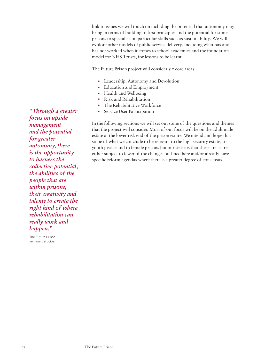link to issues we will touch on including the potential that autonomy may bring in terms of building to first principles and the potential for some prisons to specialise on particular skills such as sustainability. We will explore other models of public service delivery, including what has and has not worked when it comes to school academies and the foundation model for NHS Trusts, for lessons to be learnt.

The Future Prison project will consider six core areas:

- Leadership, Autonomy and Devolution
- Education and Employment
- Health and Wellbeing
- Risk and Rehabilitation
- The Rehabilitative Workforce
- Service User Participation

In the following sections we will set out some of the questions and themes that the project will consider. Most of our focus will be on the adult male estate at the lower risk end of the prison estate. We intend and hope that some of what we conclude to be relevant to the high security estate, to youth justice and to female prisons but our sense is that these areas are either subject to fewer of the changes outlined here and/or already have specific reform agendas where there is a greater degree of consensus.

*"Through a greater focus on upside management and the potential for greater autonomy, there is the opportunity to harness the collective potential, the abilities of the people that are within prisons, their creativity and talents to create the right kind of where rehabilitation can really work and happen."*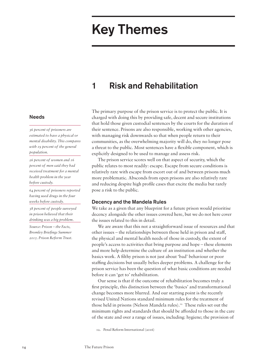# Key Themes

### 1 Risk and Rehabilitation

The primary purpose of the prison service is to protect the public. It is charged with doing this by providing safe, decent and secure institutions that hold those given custodial sentences by the courts for the duration of their sentence. Prisons are also responsible, working with other agencies, with managing risk downwards so that when people return to their communities, as the overwhelming majority will do, they no longer pose a threat to the public. Most sentences have a flexible component, which is explicitly designed to be used to manage and assess risk.

The prison service scores well on that aspect of security, which the public relates to most readily: escape. Escape from secure conditions is relatively rare with escape from escort out of and between prisons much more problematic. Absconds from open prisons are also relatively rare and reducing despite high profile cases that excite the media but rarely pose a risk to the public.

#### Decency and the Mandela Rules

We take as a given that any blueprint for a future prison would prioritise decency alongside the other issues covered here, but we do not here cover the issues related to this in detail.

We are aware that this not a straightforward issue of resources and that other issues – the relationships between those held in prison and staff, the physical and mental health needs of those in custody, the extent of people's access to activities that bring purpose and hope – these elements and more help determine the culture of an institution and whether the basics work. A filthy prison is not just about 'bad' behaviour or poor staffing decisions but usually belies deeper problems. A challenge for the prison service has been the question of what basic conditions are needed before it can 'get to' rehabilitation.

Our sense is that if the outcome of rehabilitation becomes truly a first principle, this distinction between the 'basics' and transformational change becomes more blurred. And our starting point is the recently revised United Nations standard minimum rules for the treatment of those held in prisons (Nelson Mandela rules).<sup>12</sup> These rules set out the minimum rights and standards that should be afforded to those in the care of the state and over a range of issues, including: hygiene; the provision of

12. Penal Reform International (2016)

#### Needs

*36 percent of prisoners are estimated to have a physical or mental disability. This compares with 19 percent of the general population.*

*26 percent of women and 16 percent of men said they had received treatment for a mental health problem in the year before custody.*

*64 percent of prisoners reported having used drugs in the four weeks before custody.*

*38 percent of people surveyed in prison believed that their drinking was a big problem.*

*Source: Prison – the Facts, Bromley Briefings Summer 2015. Prison Reform Trust.*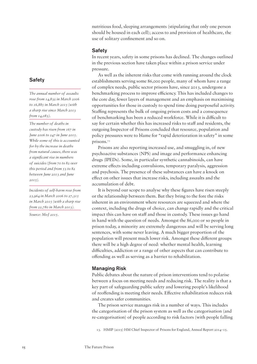nutritious food, sleeping arrangements (stipulating that only one person should be housed in each cell); access to and provision of healthcare, the use of solitary confinement and so on.

#### **Safety**

In recent years, safety in some prisons has declined. The changes outlined in the previous section have taken place within a prison service under pressure.

As well as the inherent risks that come with running around the clock establishments serving some 86,000 people, many of whom have a range of complex needs, public sector prisons have, since 2013, undergone a benchmarking process to improve efficiency. This has included changes to the core day, fewer layers of management and an emphasis on maximising opportunities for those in custody to spend time doing purposeful activity. Staffing represents the bulk of ongoing prison costs and a consequence of benchmarking has been a reduced workforce. While it is difficult to say for certain whether this has increased risks to staff and residents, the outgoing Inspector of Prisons concluded that resource, population and policy pressures were to blame for "rapid deterioration in safety" in some prisons.<sup>13</sup>

Prisons are also reporting increased use, and smuggling in, of new psychoactive substances (NPS) and image and performance enhancing drugs (IPEDs). Some, in particular synthetic cannabinoids, can have extreme effects including convulsions, temporary paralysis, aggression and psychosis. The presence of these substances can have a knock on effect on other issues that increase risks, including assaults and the accumulation of debt.

It is beyond our scope to analyse why these figures have risen steeply or the relationship between them. But they bring to the fore the risks inherent in an environment where resources are squeezed and where the context, including the drugs of choice, can change rapidly and the critical impact this can have on staff and those in custody. These issues go hand in hand with the question of needs. Amongst the 86,000 or so people in prison today, a minority are extremely dangerous and will be serving long sentences, with some never leaving. A much bigger proportion of the population will present much lower risk. Amongst these different groups there will be a high degree of need: whether mental health, learning difficulties, addiction or a range of other aspects that can contribute to offending as well as serving as a barrier to rehabilitation.

#### Managing Risk

Public debates about the nature of prison interventions tend to polarise between a focus on meeting needs and reducing risk. The reality is that a key part of safeguarding public safety and lowering people's likelihood of reoffending is meeting their needs. Effective rehabilitation reduces risk and creates safer communities.

The prison service manages risk in a number of ways. This includes the categorisation of the prison system as well as the categorisation (and re-categorisation) of people according to risk factors (with people falling

13. HMIP (2015) HM Chief Inspector of Prisons for England, Annual Report 2014–15.

#### **Safety**

*The annual number of assaults rose from 14,832 in March 2006 to 16,885 in March 2015 (with a sharp rise since March 2013 from 14,083).* 

*The number of deaths in custody has risen from 167 in June 2006 to 247 in June 2015. While some of this is accounted for by the increase in deaths from natural causes, there was a significant rise in numbers of suicides (from 70 to 82 over this period and from 53 to 82 between June 2013 and June 2015).* 

*Incidents of self-harm rose from 23,964 in March 2006 to 27,315 in March 2015 (with a sharp rise from 22,780 in March 2013).*

*Source: MoJ 2015.*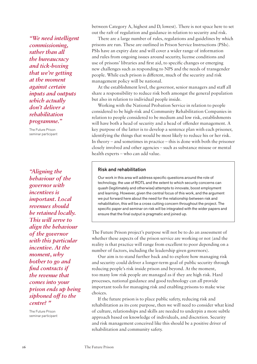*"We need intelligent commissioning, rather than all the bureaucracy and tick-boxing that we're getting at the moment against certain inputs and outputs which actually don't deliver a rehabilitation programme."*

The Future Prison seminar participant

*"Aligning the behaviour of the governor with incentives is important. Local revenues should be retained locally. This will serve to align the behaviour of the governor with this particular incentive. At the moment, why bother to go and find contracts if the revenue that comes into your prison ends up being siphoned off to the centre? "*

The Future Prison seminar participant between Category A, highest and D, lowest). There is not space here to set out the raft of regulation and guidance in relation to security and risk.

There are a large number of rules, regulations and guidelines by which prisons are run. These are outlined in Prison Service Instructions (PSIs). PSIs have an expiry date and will cover a wider range of information and rules from ongoing issues around security, license conditions and use of prisons' libraries and first aid, to specific changes or emerging new challenges such as responding to NPS and the needs of transgender people. While each prison is different, much of the security and risk management policy will be national.

At the establishment level, the governor, senior managers and staff all share a responsibility to reduce risk both amongst the general population but also in relation to individual people inside.

Working with the National Probation Service in relation to people considered to be high-risk and Community Rehabilitation Companies in relation to people considered to be medium and low risk, establishments will have both a head of security and a head of offender management. A key purpose of the latter is to develop a sentence plan with each prisoner, identifying the things that would be most likely to reduce his or her risk. In theory – and sometimes in practice – this is done with both the prisoner closely involved and other agencies – such as substance misuse or mental health experts – who can add value.

#### Risk and rehabilitation

Our work in this area will address specific questions around the role of technology, the use of ROTL and the extent to which security concerns can quash (legitimately and otherwise) attempts to innovate, boost employment and learning. However, given the central focus of this work, and the argument we put forward here about the need for the relationship between risk and rehabilitation, this will be a cross cutting concern throughout the project. The specific paper and seminar on risk will be integrated with the wider papers and ensure that the final output is pragmatic and joined up.

The Future Prison project's purpose will not be to do an assessment of whether these aspects of the prison service are working or not (and the reality is that practice will range from excellent to poor depending on a number of factors, including the leadership given governors).

Our aim is to stand further back and to explore how managing risk and security could deliver a longer-term goal of public security through reducing people's risk inside prison and beyond. At the moment, too many low risk people are managed as if they are high risk. Hard processes, national guidance and good technology can all provide important tools for managing risk and enabling prisons to make wise choices.

If the future prison is to place public safety, reducing risk and rehabilitation as its core purpose, then we will need to consider what kind of culture, relationships and skills are needed to underpin a more subtle approach based on knowledge of individuals, and discretion. Security and risk management conceived like this should be a positive driver of rehabilitation and community safety.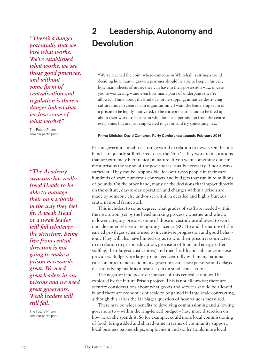*"There's a danger potentially that we lose what works. We've established what works, we see those good practices, and without some form of centralisation and regulation is there a danger indeed that we lose some of what works?"*

The Future Prison seminar participant

*"The Academy structure has really freed Heads to be able to manage their own schools in the way they feel fit. A weak Head or a weak leader will fail whatever the structure. Being free from central direction is not going to make a prison necessarily great. We need great leaders in our prisons and we need great governors. Weak leaders will still fail."*

The Future Prison seminar participant

## 2 Leadership, Autonomy and Devolution

"We've reached the point where someone in Whitehall is sitting around deciding how many jigsaws a prisoner should be able to keep in his cell, how many sheets of music they can have in their possession  $-12$ , in case you're wondering – and even how many pairs of underpants they're allowed. Think about the kind of morale-sapping, initiative-destroying culture this can create in an organisation…I want the leadership team of a prison to be highly-motivated, to be entrepreneurial and to be fired up about their work, to be a team who don't ask permission from the centre every time, but are just empowered to get on and try something new."

#### Prime Minister, David Cameron, Party Conference speech, February 2016

Prison governors inhabit a strange world in relation to power. On the one hand – frequently still referred to as 'the No  $I'$  – they work in institutions that are extremely hierarchical in nature. If you want something done in most prisons the say so of the governor is usually necessary, if not always sufficient. They can be 'responsible' for over 1,000 people in their care hundreds of staff, numerous contracts and budgets that run in to millions of pounds. On the other hand, many of the decisions that impact directly on the culture, day-to-day operation and changes within a prison are made by someone else and/or set within a detailed and highly bureaucratic national framework.

This includes, to some degree, what grades of staff are needed within the institution (set by the benchmarking process), whether and which, in lower category prisons, some of those in custody are allowed to work outside under release on temporary licence (ROTL) and the nature of the earned privileges scheme used to incentivise progression and good behaviour. They will also have limited say as to who their prison is contracted to in relation to prison education, provision of food and energy (after staffing, their largest cost centres) and their health and substance misuse providers. Budgets are largely managed centrally with many national rules on procurement and many governors can share perverse and delayed decisions being made as a result, even on small transactions.

The negative (and positive) impacts of this centralisation will be explored by the Future Prison project. This is not all unwise; there are security considerations about what goods and services should be allowed in and there are economies of scale to be gained in large-scale contracting, although this raises the far bigger question of how value is measured.

There may be wider benefits to devolving commissioning and allowing governors to – within the ring-fenced budget – have more discretion on how he or she spends it. So for example, could more local commissioning of food, bring added and shared value in terms of community support, local business partnerships, employment and skills? Could more local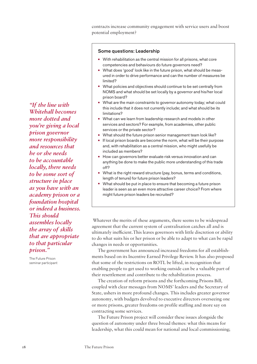contracts increase community engagement with service users and boost potential employment?

#### Some questions: Leadership

- **•** With rehabilitation as the central mission for all prisons, what core competencies and behaviours do future governors need?
- **•** What does 'good' look like in the future prison, what should be measured in order to drive performance and can the number of measures be limited?
- **•** What policies and objectives should continue to be set centrally from NOMS and what should be set locally by a governor and his/her local prison board?
- **•** What are the main constraints to governor autonomy today; what could this include that it does not currently include; and what should be its limitations?
- **•** What can we learn from leadership research and models in other services and sectors? For example, from academies, other public services or the private sector?
- **•** What should the future prison senior management team look like?
- **•** If local prison boards are become the norm, what will be their purpose and, with rehabilitation as a central mission, who might usefully be included as members?
- **•** How can governors better evaluate risk versus innovation and can anything be done to make the public more understanding of this trade off?
- **•** What is the right reward structure (pay, bonus, terms and conditions, length of tenure) for future prison leaders?
- **•** What should be put in place to ensure that becoming a future prison leader is seen as an even more attractive career choice? From where might future prison leaders be recruited?

 Whatever the merits of these arguments, there seems to be widespread agreement that the current system of centralisation catches all and is ultimately inefficient.This leaves governors with little discretion or ability to do what suits his or her prison or be able to adapt to what can be rapid changes in needs or opportunities.

The government has announced increased freedoms for all establishments based on its Incentive Earned Privilege Review. It has also proposed that some of the restrictions on ROTL be lifted, in recognition that enabling people to get used to working outside can be a valuable part of their resettlement and contribute to the rehabilitation process.

The creation of reform prisons and the forthcoming Prisons Bill, coupled with clear messages from NOMS' leaders and the Secretary of State, ushers in more profound changes. This includes greater governor autonomy, with budgets devolved to executive directors overseeing one or more prisons, greater freedoms on profile staffing and more say on contracting some services.

The Future Prison project will consider these issues alongside the question of autonomy under three broad themes: what this means for leadership, what this could mean for national and local commissioning;

*"If the line with Whitehall becomes more dotted and you're giving a local prison governor more responsibility and resources that he or she needs to be accountable locally, there needs to be some sort of structure in place as you have with an academy prison or a foundation hospital or indeed a business. This should assembles locally the array of skills that are appropriate to that particular prison."*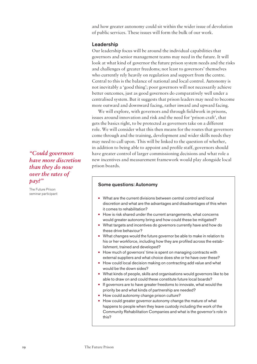and how greater autonomy could sit within the wider issue of devolution of public services. These issues will form the bulk of our work.

#### Leadership

Our leadership focus will be around the individual capabilities that governors and senior management teams may need in the future. It will look at what kind of governor the future prison system needs and the risks and challenges of greater freedoms; not least to governors' themselves who currently rely heavily on regulation and support from the centre. Central to this is the balance of national and local control. Autonomy is not inevitably a 'good thing'; poor governors will not necessarily achieve better outcomes, just as good governors do comparatively well under a centralised system. But it suggests that prison leaders may need to become more outward and downward facing, rather inward and upward facing.

We will explore, with governors and through fieldwork in prisons, issues around innovation and risk and the need for 'prison craft', that gets the basics right, to be protected as governors take on a different role. We will consider what this then means for the routes that governors come through and the training, development and wider skills needs they may need to call upon. This will be linked to the question of whether, in addition to being able to appoint and profile staff, governors should have greater control of larger commissioning decisions and what role a new incentives and measurement framework would play alongside local prison boards.

#### Some questions: Autonomy

- **•** What are the current divisions between central control and local discretion and what are the advantages and disadvantages of this when it comes to rehabilitation?
- **•** How is risk shared under the current arrangements, what concerns would greater autonomy bring and how could these be mitigated?
- **•** What targets and incentives do governors currently have and how do these drive behaviour?
- **•** What changes would the future governor be able to make in relation to his or her workforce, including how they are profiled across the establishment, trained and developed?
- **•** How much of governors' time is spent on managing contracts with external suppliers and what choice does she or he have over these?
- **•** How could local decision making on contracting add value and what would be the down sides?
- **•** What kinds of people, skills and organisations would governors like to be able to draw on and could these constitute future local boards?
- **•** If governors are to have greater freedoms to innovate, what would the priority be and what kinds of partnership are needed?
- **•** How could autonomy change prison culture?
- **•** How could greater governor autonomy change the mature of what happens to people when they leave custody including the work of the Community Rehabilitation Companies and what is the governor's role in this?

*"Could governors have more discretion than they do now over the rates of pay?"*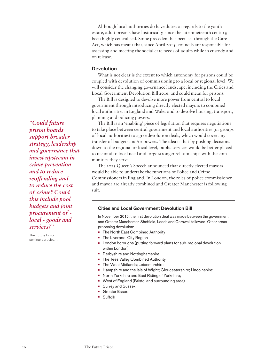Although local authorities do have duties as regards to the youth estate, adult prisons have historically, since the late nineteenth century, been highly centralised. Some precedent has been set through the Care Act, which has meant that, since April 2015, councils are responsible for assessing and meeting the social care needs of adults while in custody and on release.

#### Devolution

What is not clear is the extent to which autonomy for prisons could be coupled with devolution of commissioning to a local or regional level. We will consider the changing governance landscape, including the Cities and Local Government Devolution Bill 2016, and could mean for prisons.

The Bill is designed to devolve more power from central to local government through introducing directly elected mayors to combined local authorities in England and Wales and to devolve housing, transport, planning and policing powers.

The Bill is an 'enabling' piece of legislation that requires negotiations to take place between central government and local authorities (or groups of local authorities) to agree devolution deals, which would cover any transfer of budgets and/or powers. The idea is that by pushing decisions down to the regional or local level, public services would be better placed to respond to local need and forge stronger relationships with the communities they serve.

The 2015 Queen's Speech announced that directly elected mayors would be able to undertake the functions of Police and Crime Commissioners in England. In London, the roles of police commissioner and mayor are already combined and Greater Manchester is following suit.

#### Cities and Local Government Devolution Bill

In November 2015, the first devolution deal was made between the government and Greater Manchester. Sheffield, Leeds and Cornwall followed. Other areas proposing devolution:

- **•** The North East Combined Authority
- **•** The Liverpool City Region
- **•** London boroughs (putting forward plans for sub-regional devolution within London)
- **•** Derbyshire and Nottinghamshire
- **•** The Tees Valley Combined Authority
- **•** The West Midlands; Leicestershire
- **•** Hampshire and the Isle of Wight; Gloucestershire; Lincolnshire;
- **•** North Yorkshire and East Riding of Yorkshire;
- **•** West of England (Bristol and surrounding area)
- **•** Surrey and Sussex
- **•** Greater Essex
- **•** Suffolk

*"Could future prison boards support broader strategy, leadership and governance that invest upstream in crime prevention and to reduce reoffending and to reduce the cost of crime? Could this include pool budgets and joint procurement of local - goods and services?"*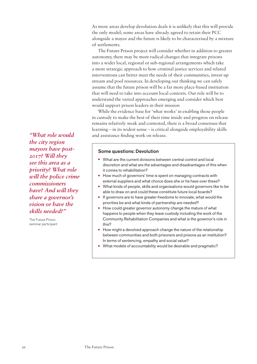As more areas develop devolution deals it is unlikely that this will provide the only model; some areas have already agreed to retain their PCC alongside a mayor and the future is likely to be characterised by a mixture of settlements.

The Future Prison project will consider whether in addition to greater autonomy, there may be more radical changes that integrate prisons into a wider local, regional or sub-regional arrangements which take a more strategic approach to how criminal justice services and related interventions can better meet the needs of their communities, invest-up stream and pool resources. In developing our thinking we can safely assume that the future prison will be a far more place-based institution that will need to take into account local contexts. Our role will be to understand the varied approaches emerging and consider which best would support prison leaders in their mission

While the evidence base for 'what works' in enabling those people in custody to make the best of their time inside and progress on release remains relatively weak and contested, there is a broad consensus that learning – in its widest sense – is critical alongside employability skills *"What role would* and assistance finding work on release.

#### Some questions: Devolution

- **•** What are the current divisions between central control and local discretion and what are the advantages and disadvantages of this when it comes to rehabilitation?
- **•** How much of governors' time is spent on managing contracts with external suppliers and what choice does she or he have over these?
- **•** What kinds of people, skills and organisations would governors like to be able to draw on and could these constitute future local boards?
- **•** If governors are to have greater freedoms to innovate, what would the priorities be and what kinds of partnership are needed?
- **•** How could greater governor autonomy change the mature of what happens to people when they leave custody including the work of the Community Rehabilitation Companies and what is the governor's role in this?
- **•** How might a devolved approach change the nature of the relationship between communities and both prisoners and prisons as an institution? In terms of sentencing, empathy and social value?
- **•** What models of accountability would be desirable and pragmatic?

*the city region mayors have post-2017? Will they see this area as a priority? What role will the police crime commissioners have? And will they share a governor's vision or have the skills needed?"*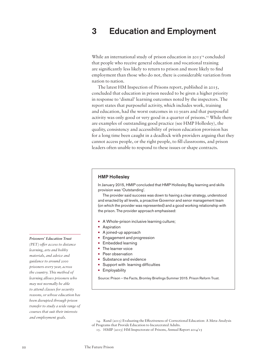### 3 Education and Employment

While an international study of prison education in  $20I3^{14}$  concluded that people who receive general education and vocational training are significantly less likely to return to prison and more likely to find employment than those who do not, there is considerable variation from nation to nation.

The latest HM Inspection of Prisons report, published in 2015, concluded that education in prison needed to be given a higher priority in response to 'dismal' learning outcomes noted by the inspectors. The report states that purposeful activity, which includes work, training and education, had the worst outcomes in 10 years and that purposeful activity was only good or very good in a quarter of prisons.<sup>15</sup> While there are examples of outstanding good practice (see HMP Hollesley), the quality, consistency and accessibility of prison education provision has for a long time been caught in a deadlock with providers arguing that they cannot access people, or the right people, to fill classrooms, and prison leaders often unable to respond to these issues or shape contracts.

#### HMP Hollesley

In January 2015, HMIP concluded that HMP Hollesley Bay learning and skills provision was 'Outstanding'.

The provider said success was down to having a clear strategy, understood and enacted by all levels, a proactive Governor and senor management team (on which the provider was represented) and a good working relationship with the prison. The provider approach emphasised:

- **•** A Whole-prison inclusive learning culture;
- **•** Aspiration
- **•** A joined-up approach
- **•** Engagement and progression
- **•** Embedded learning
- **•** The learner voice
- **•** Peer observation
- **•** Substance and evidence
- **•** Support with learning difficulties
- **•** Employability

Source: Prison – the Facts, Bromley Briefings Summer 2015. Prison Reform Trust.

15. HMIP (2015) HM Inspectorate of Prisons, Annual Report 2014/15

#### *Prisoners' Education Trust*

*(PET) offer access to distance learning, arts and hobby materials, and advice and guidance to around 2000 prisoners every year, across the country. This method of learning allows prisoners who may not normally be able to attend classes for security reasons, or whose education has been disrupted through prison transfer to study a wide range of courses that suit their interests and employment goals.* 

<sup>14.</sup> Rand (2013) Evaluating the Effectiveness of Correctional Education: A Meta-Analysis of Programs that Provide Education to Incarcerated Adults.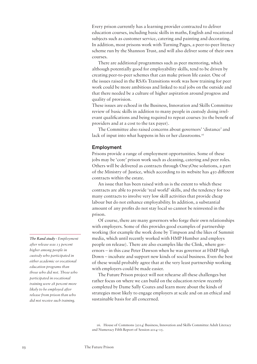Every prison currently has a learning provider contracted to deliver education courses, including basic skills in maths, English and vocational subjects such as customer service, catering and painting and decorating. In addition, most prisons work with Turning Pages, a peer-to-peer literacy scheme run by the Shannon Trust, and will also deliver some of their own courses.

There are additional programmes such as peer mentoring, which although potentially good for employability skills, tend to be driven by creating peer-to-peer schemes that can make prison life easier. One of the issues raised in the RSA's Transitions work was how training for peer work could be more ambitious and linked to real jobs on the outside and that there needed be a culture of higher aspiration around progress and quality of provision.

These issues are echoed in the Business, Innovation and Skills Committee review of basic skills in addition to many people in custody doing irrelevant qualifications and being required to repeat courses (to the benefit of providers and at a cost to the tax payer).

The Committee also raised concerns about governors' 'distance' and lack of input into what happens in his or her classrooms.<sup>16</sup>

#### Employment

Prisons provide a range of employment opportunities. Some of these jobs may be 'core' prison work such as cleaning, catering and peer roles. Others will be delivered as contracts through One3One solutions, a part of the Ministry of Justice, which according to its website has 450 different contracts within the estate.

An issue that has been raised with us is the extent to which these contracts are able to provide 'real world' skills, and the tendency for too many contracts to involve very low skill activities that provide cheap labour but do not enhance employability. In addition, a substantial amount of any profits do not stay local so cannot be reinvested in the prison.

Of course, there are many governors who forge their own relationships with employers. Some of this provides good examples of partnership working (for example the work done by Timpson and the likes of Summit media, which until recently worked with HMP Humber and employs people on release). There are also examples like the Clink, where governors – in this case Peter Dawson when he was governor at HMP High Down – incubate and support new kinds of social business. Even the best of these would probably agree that at the very least partnership working with employers could be made easier.

The Future Prison project will not rehearse all these challenges but rather focus on where we can build on the education review recently completed by Dame Sally Coates and learn more about the kinds of strategies most likely to engage employers at scale and on an ethical and sustainable basis for all concerned.

*The Rand study - Employment after release was 13 percent higher among people in custody who participated in either academic or vocational education programs than those who did not. Those who participated in vocational training were 28 percent more likely to be employed after release from prison than who did not receive such training.* 

<sup>16.</sup> House of Commons (2014) Business, Innovation and Skills Committee Adult Literacy and Numeracy Fifth Report of Session 2014–15.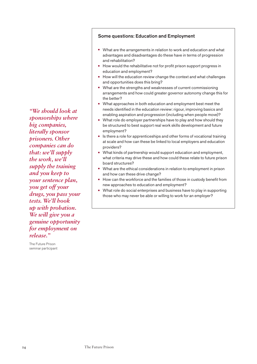*"We should look at sponsorships where big companies, literally sponsor prisoners. Other companies can do that: we'll supply the work, we'll supply the training and you keep to your sentence plan, you get off your drugs, you pass your tests. We'll hook up with probation. We will give you a genuine opportunity for employment on release."*

The Future Prison seminar participant

#### Some questions: Education and Employment

- **•** What are the arrangements in relation to work and education and what advantages and disadvantages do these have in terms of progression and rehabilitation?
- **•** How would the rehabilitative not for profit prison support progress in education and employment?
- **•** How will the education review change the context and what challenges and opportunities does this bring?
- **•** What are the strengths and weaknesses of current commissioning arrangements and how could greater governor autonomy change this for the better?
- **•** What approaches in both education and employment best meet the needs identified in the education review: rigour, improving basics and enabling aspiration and progression (including when people move)?
- **•** What role do employer partnerships have to play and how should they be structured to best support real work skills development and future employment?
- **•** Is there a role for apprenticeships and other forms of vocational training at scale and how can these be linked to local employers and education providers?
- **•** What kinds of partnership would support education and employment, what criteria may drive these and how could these relate to future prison board structures?
- **•** What are the ethical considerations in relation to employment in prison and how can these drive change?
- **•** How can the workforce and the families of those in custody benefit from new approaches to education and employment?
- **•** What role do social enterprises and business have to play in supporting those who may never be able or willing to work for an employer?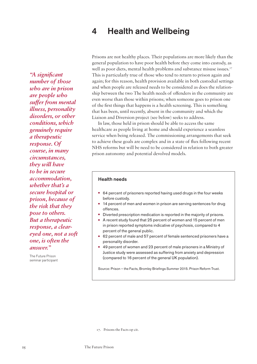### 4 Health and Wellbeing

*"A significant number of those who are in prison are people who suffer from mental illness, personality disorders, or other conditions, which genuinely require a therapeutic response. Of course, in many circumstances, they will have to be in secure accommodation, whether that's a secure hospital or prison, because of the risk that they pose to others. But a therapeutic response, a cleareyed one, not a soft one, is often the answer."* 

The Future Prison seminar participant Prisons are not healthy places. Their populations are more likely than the general population to have poor health before they come into custody, as well as poor diets, mental health problems and substance misuse issues.<sup>17</sup> This is particularly true of those who tend to return to prison again and again; for this reason, health provision available in both custodial settings and when people are released needs to be considered as does the relationship between the two The health needs of offenders in the community are even worse than those within prisons; when someone goes to prison one of the first things that happens is a health screening. This is something that has been, until recently, absent in the community and which the Liaison and Diversion project (see below) seeks to address.

In law, those held in prison should be able to access the same healthcare as people living at home and should experience a seamless service when being released. The commissioning arrangements that seek to achieve these goals are complex and in a state of flux following recent NHS reforms but will be need to be considered in relation to both greater prison autonomy and potential devolved models.

#### Health needs

- **•** 64 percent of prisoners reported having used drugs in the four weeks before custody.
- **•** 14 percent of men and women in prison are serving sentences for drug offences.
- **•** Diverted prescription medication is reported in the majority of prisons.
- **•** A recent study found that 25 percent of women and 15 percent of men in prison reported symptoms indicative of psychosis, compared to 4 percent of the general public.
- **•** 62 percent of male and 57 percent of female sentenced prisoners have a personality disorder.
- **•** 49 percent of women and 23 percent of male prisoners in a Ministry of Justice study were assessed as suffering from anxiety and depression (compared to 16 percent of the general UK population).

Source: Prison – the Facts, Bromley Briefings Summer 2015. Prison Reform Trust.

17. Prisons the Facts op cit.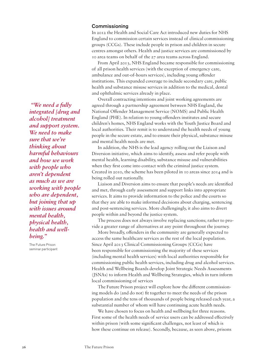#### **Commissioning**

In 2012 the Health and Social Care Act introduced new duties for NHS England to commission certain services instead of clinical commissioning groups (CCGs). These include people in prison and children in secure centres amongst others. Health and justice services are commissioned by 10 area teams on behalf of the 27 area teams across England.

From April 2013, NHS England became responsible for commissioning of all prison health services (with the exception of emergency care, ambulance and out-of-hours services), including young offender institutions. This expanded coverage to include secondary care, public health and substance misuse services in addition to the medical, dental and ophthalmic services already in place.

Overall contracting intentions and joint working agreements are agreed through a partnership agreement between NHS England, the National Offender Management Service (NOMS) and Public Health England (PHE). In relation to young offenders institutes and secure children's homes, NHS England works with the Youth Justice Board and local authorities. Their remit is to understand the health needs of young people in the secure estate, and to ensure their physical, substance misuse and mental health needs are met.

In addition, the NHS is the lead agency rolling out the Liaison and Diversion initiative, which aims to identify, assess and refer people with mental health, learning disability, substance misuse and vulnerabilities when they first come into contact with the criminal justice system. Created in 2010, the scheme has been piloted in 10 areas since 2014 and is being rolled out nationally.

Liaison and Diversion aims to ensure that people's needs are identified and met, through early assessment and support links into appropriate services. It aims to provide information to the police and the courts so that they are able to make informed decisions about charging, sentencing and post-sentencing services. More challengingly, it also aims to divert people within and beyond the justice system.

The process does not always involve replacing sanctions; rather to provide a greater range of alternatives at any point throughout the journey.

More broadly, offenders in the community are generally expected to access the same healthcare services as the rest of the local population. Since April 2013 Clinical Commissioning Groups (CCGs) have been responsible for commissioning the majority of these services (including mental health services) with local authorities responsible for commissioning public health services, including drug and alcohol services. Health and Wellbeing Boards develop Joint Strategic Needs Assessments (JSNAs) to inform Health and Wellbeing Strategies, which in turn inform local commissioning of services

The Future Prison project will explore how the different commissioning models do (and do not) fit together to meet the needs of the prison population and the tens of thousands of people being released each year, a substantial number of whom will have continuing acute health needs.

We have chosen to focus on health and wellbeing for three reasons. First some of the health needs of service users can be addressed effectively within prison (with some significant challenges, not least of which is how these continue on release). Secondly, because, as seen above, prisons

 *"We need a fully integrated [drug and alcohol] treatment and support system. We need to make sure that we're thinking about harmful behaviours and how we work with people who aren't dependent as much as we are working with people who are dependent, but joining that up with issues around mental health, physical health, health and wellbeing."*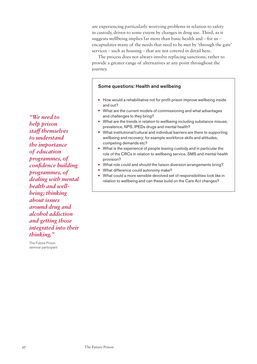are experiencing particularly worrying problems in relation to safety in custody, driven to some extent by changes in drug use. Third, as it suggests wellbeing implies far more than basic health and – for us – encapsulates many of the needs that need to be met by 'through the gate' services – such as housing – that are not covered in detail here.

The process does not always involve replacing sanctions; rather to provide a greater range of alternatives at any point throughout the journey.

#### Some questions: Health and wellbeing

- **•** How would a rehabilitative not for profit prison improve wellbeing inside and out?
- **•** What are the current models of commissioning and what advantages and challenges to they bring?
- **•** What are the trends in relation to wellbeing including substance misuse, prevalence, NPS, IPEDs drugs and mental health?
- **•** What institutional/cultural and individual barriers are there to supporting wellbeing and recovery; for example workforce skills and attitudes, competing demands etc?
- **•** What is the experience of people leaving custody and in particular the role of the CRCs in relation to wellbeing service, SMS and mental health provision?
- **•** What role could and should the liaison diversion arrangements bring?
- **•** What difference could autonomy make?
- **•** What could a more sensible devolved set of responsibilities look like in relation to wellbeing and can these build on the Care Act changes?

*"We need to help prison staff themselves to understand the importance of education programmes, of confidence building programmes, of dealing with mental health and wellbeing; thinking about issues around drug and alcohol addiction and getting those integrated into their thinking."*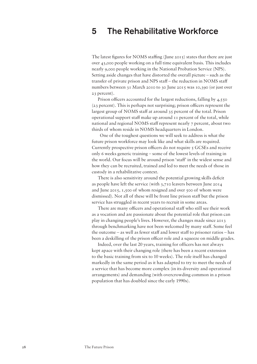### 5 The Rehabilitative Workforce

The latest figures for NOMS staffing (June 2015) states that there are just over 43,000 people working on a full time equivalent basis. This includes nearly 9,000 people working in the National Probation Service (NPS). Setting aside changes that have distorted the overall picture – such as the transfer of private prison and NPS staff – the reduction in NOMS staff numbers between 31 March 2010 to 30 June 2015 was 10,390 (or just over 23 percent).

Prison officers accounted for the largest reductions, falling by 4,550 (23 percent). This is perhaps not surprising; prison officers represent the largest group of NOMS staff at around 35 percent of the total. Prison operational support staff make up around 11 percent of the total, while national and regional NOMS staff represent nearly 7 percent, about two thirds of whom reside in NOMS headquarters in London.

 One of the toughest questions we will seek to address is what the future prison workforce may look like and what skills are required. Currently prospective prison officers do not require 5 GCSEs and receive only 6 weeks generic training – some of the lowest levels of training in the world. Our focus will be around prison 'staff' in the widest sense and how they can be recruited, trained and led to meet the needs of those in custody in a rehabilitative context.

There is also sensitivity around the potential growing skills deficit as people have left the service (with 3,710 leavers between June 2014 and June 2015, 1,500 of whom resigned and over 500 of whom were dismissed). Not all of these will be front line prison staff but the prison service has struggled in recent years to recruit in some areas.

There are many officers and operational staff who still see their work as a vocation and are passionate about the potential role that prison can play in changing people's lives. However, the changes made since 2013 through benchmarking have not been welcomed by many staff. Some feel the outcome – as well as fewer staff and lower staff to prisoner ratios – has been a deskilling of the prison officer role and a squeeze on middle grades.

Indeed, over the last 20 years, training for officers has not always kept apace with their changing role (there has been a recent extension to the basic training from six to 10 weeks). The role itself has changed markedly in the same period as it has adapted to try to meet the needs of a service that has become more complex (in its diversity and operational arrangements) and demanding (with overcrowding common in a prison population that has doubled since the early 1990s).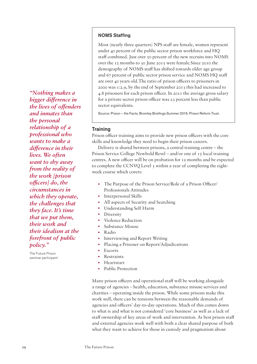*"Nothing makes a bigger difference in the lives of offenders and inmates than the personal relationship of a professional who wants to make a difference in their lives. We often want to shy away from the reality of the work [prison officers] do, the circumstances in which they operate, the challenges that they face. It's time that we put them, their work and their idealism at the forefront of public policy."*

The Future Prison seminar participant

#### NOMS Staffing

Most (nearly three quarters) NPS staff are female, women represent under 40 percent of the public sector prison workforce and HQ staff combined. Just over 50 percent of the new recruits into NOMS over the 12 months to 30 June 2015 were female.Since 2010 the demography of NOMS staff has shifted towards older age group and 67 percent of public sector prison service and NOMS HQ staff are over 40 years old.The ratio of prison officers to prisoners in 2000 was 1:2.9, by the end of September 2013 this had increased to 4.8 prisoners for each prison officer. In 2011 the average gross salary for a private sector prison officer was 23 percent less than public sector equivalents.

Source: Prison – the Facts, Bromley Briefings Summer 2015. Prison Reform Trust.

#### **Training**

Prison officer training aims to provide new prison officers with the core skills and knowledge they need to begin their prison careers.

Delivery is shared between prisons, a central training centre – the Prison Service College Newbold Revel – and/or one of 15 local training centres. A new officer will be on probation for 12 months and be expected to complete the CCNVQ Level 3 within a year of completing the eightweek course which covers:

- The Purpose of the Prison Service/Role of a Prison Officer/ Professionals Attitudes
- Interpersonal Skills
- All aspects of Security and Searching
- Understanding Self Harm
- **Diversity**
- Violence Reduction
- Substance Misuse
- Radio
- Interviewing and Report Writing
- Placing a Prisoner on Report/Adjudications
- **Escorts**
- Restraints
- Heartstart
- Public Protection

Many prison officers and operational staff will be working alongside a range of agencies – health, education, substance misuse services and charities – operating inside the prison. While some prisons make this work well, there can be tensions between the reasonable demands of agencies and officers' day-to-day operations. Much of this comes down to what is and what is not considered 'core business' as well as a lack of staff ownership of key areas of work and intervention. At best prison staff and external agencies work well with both a clear shared purpose of both what they want to achieve for those in custody and pragmatism about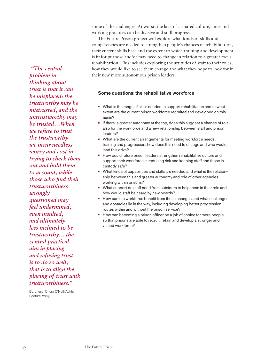some of the challenges. At worst, the lack of a shared culture, aims and working practices can be divisive and stall progress.

The Future Prison project will explore what kinds of skills and competencies are needed to strengthen people's chances of rehabilitation, their current skills base and the extent to which training and development is fit for purpose and/or may need to change in relation to a greater focus rehabilitation. This includes exploring the attitudes of staff to their roles, how they would like to see them change and what they hope to look for in their new more autonomous prison leaders.

#### Some questions: the rehabilitative workforce

- **•** What is the range of skills needed to support rehabilitation and to what extent are the current prison workforce recruited and developed on this basis?
- **•** If there is greater autonomy at the top, does this suggest a change of role also for the workforce and a new relationship between staff and prison leaders?
- **•** What are the current arrangements for meeting workforce needs, training and progression, how does this need to change and who would lead this drive?
- **•** How could future prison leaders strengthen rehabilitative culture and support their workforce in reducing risk and keeping staff and those in custody safe?
- **•** What kinds of capabilities and skills are needed and what is the relationship between this and greater autonomy and role of other agencies working within prisons?
- **•** What support do staff need from outsiders to help them in their role and how would staff be heard by new boards?
- **•** How can the workforce benefit from these changes and what challenges and obstacles lie in the way, including developing better progression routes within and without the prison service?
- **•** How can becoming a prison officer be a job of choice for more people so that prisons are able to recruit, retain and develop a stronger and valued workforce?

 *"The central problem in thinking about trust is that it can be misplaced: the trustworthy may be mistrusted, and the untrustworthy may be trusted…When we refuse to trust the trustworthy we incur needless worry and cost in trying to check them out and hold them to account, while those who find their trustworthiness wrongly questioned may feel undermined, even insulted, and ultimately less inclined to be trustworthy… the central practical aim in placing and refusing trust is to do so well, that is to align the placing of trust with trustworthiness."* 

Baroness Onora O'Neill Ashby Lecture, 2009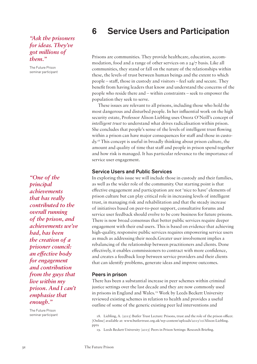#### *"Ask the prisoners for ideas. They've got millions of them."*

The Future Prison seminar participant

*"One of the principal achievements that has really contributed to the overall running of the prison, and achievements we've had, has been the creation of a prisoner council: an effective body for engagement and contribution from the guys that live within my prison. And I can't emphasise that enough."*

The Future Prison seminar participant

### 6 Service Users and Participation

Prisons are communities. They provide healthcare, education, accommodation, food and a range of other services on a 24/7 basis. Like all communities, they stand or fall on the nature of the relationships within these, the levels of trust between human beings and the extent to which people – staff, those in custody and visitors – feel safe and secure. They benefit from having leaders that know and understand the concerns of the people who reside there and – within constraints – seek to empower the population they seek to serve.

These issues are relevant to all prisons, including those who hold the most dangerous and disturbed people. In her influential work on the high security estate, Professor Alison Liebling uses Onora O'Neill's concept of *intelligent trust* to understand what drives radicalisation within prison. She concludes that people's sense of the levels of intelligent trust flowing within a prison can have major consequences for staff and those in custody.18 This concept is useful in broadly thinking about prison culture, the amount and quality of time that staff and people in prison spend together and how risk is managed. It has particular relevance to the importance of service user engagement.

#### Service Users and Public Services

In exploring this issue we will include those in custody and their families, as well as the wider role of the community. Our starting point is that effective engagement and participation are not 'nice to have' elements of prison culture but can play critical role in increasing levels of intelligent trust, in managing risk and rehabilitation and that the steady increase of initiatives based on peer-to-peer support, consultative forums and service user feedback should evolve to be core business for future prisons. There is now broad consensus that better public services require deeper engagement with their end users. This is based on evidence that achieving high-quality, responsive public services requires empowering service users as much as addressing their needs.Greater user involvement implies a rebalancing of the relationship between practitioners and clients. Done effectively, it enables commissioners to contract with more confidence, and creates a feedback loop between service providers and their clients that can identify problems, generate ideas and improve outcomes.

#### Peers in prison

There has been a substantial increase in peer schemes within criminal justice settings over the last decade and they are now commonly used in prisons in England and Wales.<sup>19</sup> Work by Leeds Beckett University reviewed existing schemes in relation to health and provides a useful outline of some of the generic existing peer led interventions and

<sup>18.</sup> Liebling, A. (2015) Butler Trust Lecture: Prisons, trust and the role of the prison officer. [Online] available at: www.butlertrust.org.uk/wp-content/uploads/2015/10/Alison-Liebling. pptx

<sup>19.</sup> Leeds Beckett University (2015) Peers in Prison Settings: Research Briefing.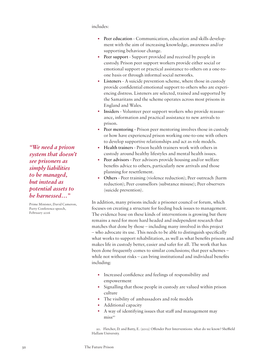includes:

- **Peer education** Communication, education and skills development with the aim of increasing knowledge, awareness and/or supporting behaviour change.
- **Peer support** Support provided and received by people in custody. Prison peer support workers provide either social or emotional support or practical assistance to others on a one-toone basis or through informal social networks.
- **Listeners** A suicide prevention scheme, where those in custody provide confidential emotional support to others who are experiencing distress. Listeners are selected, trained and supported by the Samaritans and the scheme operates across most prisons in England and Wales.
- **Insiders** Volunteer peer support workers who provide reassurance, information and practical assistance to new arrivals to prison.
- **Peer mentoring Prison peer mentoring involves those in custody** or how have experienced prison working one-to-one with others to develop supportive relationships and act as role models.
- **Health trainers** Prison health trainers work with others in custody around healthy lifestyles and mental health issues.
- **Peer advisors** Peer advisors provide housing and/or welfare benefits advice to others, particularly new arrivals and those planning for resettlement.
- **Others** Peer training (violence reduction); Peer outreach (harm reduction); Peer counsellors (substance misuse); Peer observers (suicide prevention).

In addition, many prisons include a prisoner council or forum, which focuses on creating a structure for feeding back issues to management. The evidence base on these kinds of interventions is growing but there remains a need for more hard headed and independent research that matches that done by those – including many involved in this project – who advocate its use. This needs to be able to distinguish specifically what works to support rehabilitation, as well as what benefits prisons and makes life in custody better, easier and safer for all. The work that has been done frequently comes to similar conclusions; that peer schemes – while not without risks – can bring institutional and individual benefits including:

- Increased confidence and feelings of responsibility and empowerment
- Signalling that those people in custody are valued within prison culture
- The visibility of ambassadors and role models
- Additional capacity
- A way of identifying issues that staff and management may  $miss<sup>20</sup>$

20. Fletcher, D. and Batty, E. (2012) Offender Peer Interventions: what do we know? Sheffield Hallam University.

*"We need a prison system that doesn't see prisoners as simply liabilities to be managed, but instead as potential assets to be harnessed…"*

Prime Minister, David Cameron, Party Conference speech, February 2016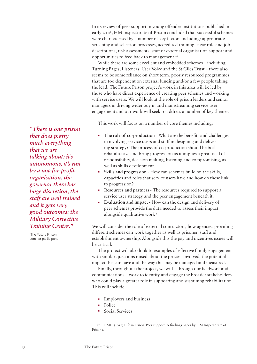In its review of peer support in young offender institutions published in early 2016, HM Inspectorate of Prison concluded that successful schemes were characterised by a number of key factors including: appropriate screening and selection processes, accredited training, clear role and job descriptions, risk assessments, staff or external organisation support and opportunities to feed back to management.21

While there are some excellent and embedded schemes – including Turning Pages, Listeners, User Voice and the St Giles Trust – there also seems to be some reliance on short term, poorly resourced programmes that are too dependent on external funding and/or a few people taking the lead. The Future Prison project's work in this area will be led by those who have direct experience of creating peer schemes and working with service users. We will look at the role of prison leaders and senior managers in driving wider buy in and mainstreaming service user engagement and our work will seek to address a number of key themes.

This work will focus on a number of core themes including:

- **The role of co-production** What are the benefits and challenges in involving service users and staff in designing and delivering strategy? The process of co-production should be both rehabilitative and bring progression as it implies a great deal of responsibility, decision making, listening and compromising, as well as skills development.
- **Skills and progression** How can schemes build on the skills, capacities and roles that service users have and how do these link to progression?
- **Resources and partners** The resources required to support a service user strategy and the peer engagement beneath it.
- **Evaluation and impact** How can the design and delivery of peer schemes provide the data needed to assess their impact alongside qualitative work?

We will consider the role of external contractors, how agencies providing different schemes can work together as well as prisoner, staff and establishment ownership. Alongside this the pay and incentives issues will be critical.

The project will also look to examples of effective family engagement with similar questions raised about the process involved, the potential impact this can have and the way this may be managed and measured.

Finally, throughout the project, we will – through our fieldwork and communications – work to identify and engage the broader stakeholders who could play a greater role in supporting and sustaining rehabilitation. This will include:

- Employers and business
- Police
- Social Services

21. HMIP (2016) Life in Prison: Peer support. A findings paper by HM Inspectorate of Prisons.

*"There is one prison that does pretty much everything that we are talking about: it's autonomous, it's run by a not-for-profit organisation, the governor there has huge discretion, the staff are well trained and it gets very good outcomes: the Military Corrective Training Centre."*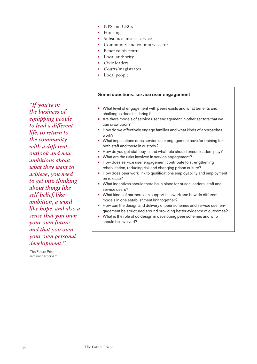- NPS and CRCs
- Housing
- Substance misuse services
	- Community and voluntary sector
- Benefits/job centre
- Local authority
- Civic leaders
- Courts/magistrates
- Local people

#### Some questions: service user engagement

- **•** What level of engagement with peers exists and what benefits and challenges does this bring?
- **•** Are there models of service user engagement in other sectors that we can draw upon?
- **•** How do we effectively engage families and what kinds of approaches work?
- **•** What implications does service user engagement have for training for both staff and those in custody?
- **•** How do you get staff buy in and what role should prison leaders play?
- **•** What are the risks involved in service engagement?
- **•** How does service user engagement contribute to strengthening rehabilitation, reducing risk and changing prison culture?
- **•** How does peer work link to qualifications employability and employment on release?
- **•** What incentives should there be in place for prison leaders, staff and service users?
- **•** What kinds of partners can support this work and how do different models in one establishment knit together?
- **•** How can the design and delivery of peer schemes and service user engagement be structured around providing better evidence of outcomes?
- **•** What is the role of co design in developing peer schemes and who should be involved?

*"If you're in the business of equipping people to lead a different life, to return to the community with a different outlook and new ambitions about what they want to achieve, you need to get into thinking about things like self-belief, like ambition, a word like hope, and also a sense that you own your own future and that you own your own personal development."*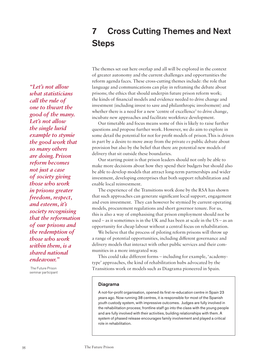# 7 Cross Cutting Themes and Next **Steps**

*"Let's not allow what statisticians call the rule of one to thwart the good of the many. Let's not allow the single lurid example to stymie the good work that so many others are doing. Prison reform becomes not just a case of society giving those who work in prisons greater freedom, respect, and esteem, it's society recognising that the reformation of our prisons and the redemption of those who work within them, is a shared national endeavour."*

 The Future Prison seminar participant

The themes set out here overlap and all will be explored in the context of greater autonomy and the current challenges and opportunities the reform agenda faces. These cross-cutting themes include: the role that language and communications can play in reframing the debate about prisons; the ethics that should underpin future prison reform work; the kinds of financial models and evidence needed to drive change and investment (including invest to save and philanthropic involvement) and whether there is a need for a new 'centre of excellence' to drive change, incubate new approaches and facilitate workforce development.

Our timetable and focus means some of this is likely to raise further questions and propose further work. However, we do aim to explore in some detail the potential for not for profit models of prison.This is driven in part by a desire to move away from the private *vs* public debate about provision but also by the belief that there are potential new models of delivery that sit outside these boundaries.

Our starting point is that prison leaders should not only be able to make more decisions about how they spend their budgets but should also be able to develop models that attract long-term partnerships and wider investment, developing enterprises that both support rehabilitation and enable local reinvestment.

The experience of the Transitions work done by the RSA has shown that such approaches can generate significant local support, engagement and even investment. They can however be stymied by current operating models, procurement regulations and short governor tenure. For us, this is also a way of emphasising that prison employment should not be used – as it sometimes is in the UK and has been at scale in the US – as an opportunity for cheap labour without a central focus on rehabilitation.

We believe that the process of piloting reform prisons will throw up a range of potential opportunities, including different governance and delivery models that interact with other public services and their communities in a more integrated way.

This could take different forms – including for example, 'academytype' approaches, the kind of rehabilitation hubs advocated by the Transitions work or models such as Diagrama pioneered in Spain.

#### Diagrama

A not-for-profit organisation, opened its first re-education centre in Spain 23 years ago. Now running 38 centres, it is responsible for most of the Spanish youth custody system, with impressive outcomes. Judges are fully involved in the rehabilitation process; frontline staff go into the class with the young people and are fully involved with their activities, building relationships with them. A system of phased release encourages family involvement and played a critical role in rehabilitation.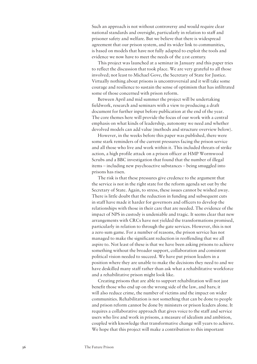Such an approach is not without controversy and would require clear national standards and oversight, particularly in relation to staff and prisoner safety and welfare. But we believe that there is widespread agreement that our prison system, and its wider link to communities, is based on models that have not fully adapted to exploit the tools and evidence we now have to meet the needs of the 21st century.

This project was launched at a seminar in January and this paper tries to reflect the discussion that took place. We are very grateful to all those involved; not least to Michael Gove, the Secretary of State for Justice. Virtually nothing about prisons is uncontroversial and it will take some courage and resilience to sustain the sense of optimism that has infiltrated some of those concerned with prison reform.

Between April and mid summer the project will be undertaking fieldwork, research and seminars with a view to producing a draft document for further input before publication at the end of the year. The core themes here will provide the focus of our work with a central emphasis on what kinds of leadership, autonomy we need and whether devolved models can add value (methods and structure overview below).

However, in the weeks before this paper was published, there were some stark reminders of the current pressures facing the prison service and all those who live and work within it. This included threats of strike action, a high profile attack on a prison officer at HMP Wormwood Scrubs and a BBC investigation that found that the number of illegal items – including new psychoactive substances – being smuggled into prisons has risen.

The risk is that these pressures give credence to the argument that the service is not in the right state for the reform agenda set out by the Secretary of State. Again, to stress, these issues cannot be wished away. There is little doubt that the reduction in funding and subsequent cuts in staff have made it harder for governors and officers to develop the relationships with those in their care that are needed. The evidence of the impact of NPS in custody is undeniable and tragic. It seems clear that new arrangements with CRCs have not yielded the transformations promised, particularly in relation to through the gate services. However, this is not a zero sum game. For a number of reasons, the prison service has not managed to make the significant reduction in reoffending that we all aspire to. Not least of these is that we have been asking prisons to achieve something without the broader support, collaboration and consistent political vision needed to succeed. We have put prison leaders in a position where they are unable to make the decisions they need to and we have deskilled many staff rather than ask what a rehabilitative workforce and a rehabilitative prison might look like.

Creating prisons that are able to support rehabilitation will not just benefit those who end up on the wrong side of the law, and bars; it will also reduce crime, the number of victims and the impact on wider communities. Rehabilitation is not something that can be done to people and prison reform cannot be done by ministers or prison leaders alone. It requires a collaborative approach that gives voice to the staff and service users who live and work in prisons, a measure of idealism and ambition, coupled with knowledge that transformative change will years to achieve. We hope that this project will make a contribution to this important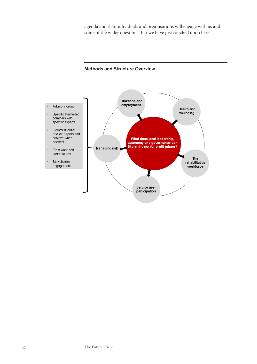agenda and that individuals and organisations will engage with us and some of the wider questions that we have just touched upon here.